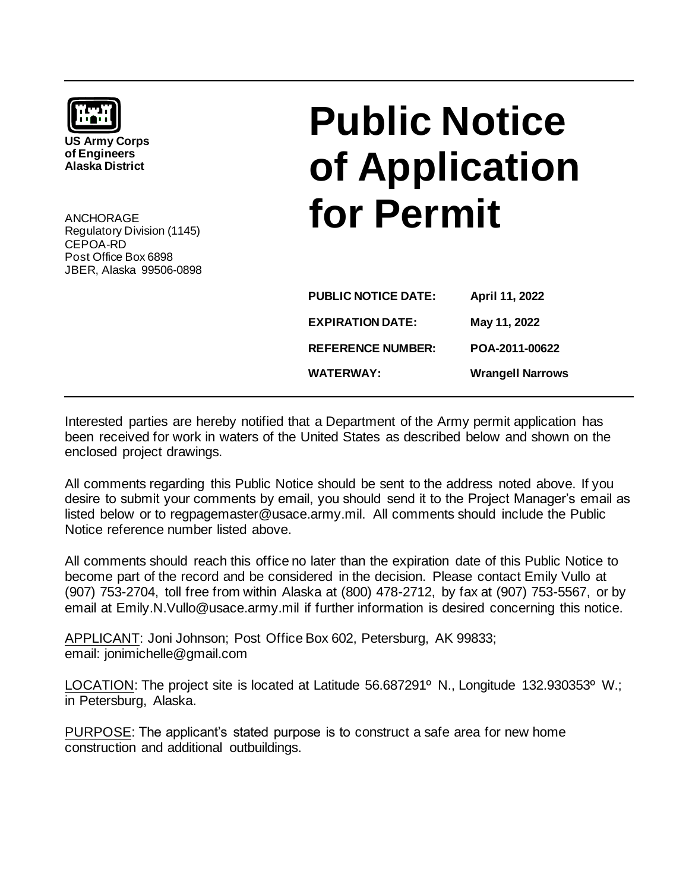| <b>To the St</b><br><b>US Army Corps</b><br>of Engineers<br><b>Alaska District</b>                     |  |
|--------------------------------------------------------------------------------------------------------|--|
| ANCHORAGE<br>Regulatory Division (1145)<br>CFPOA-RD<br>Post Office Box 6898<br>JBER, Alaska 99506-0898 |  |

## **Public Notice of Application for Permit**

| <b>PUBLIC NOTICE DATE:</b> | April 11, 2022          |
|----------------------------|-------------------------|
| <b>EXPIRATION DATE:</b>    | May 11, 2022            |
| <b>REFERENCE NUMBER:</b>   | POA-2011-00622          |
| <b>WATERWAY:</b>           | <b>Wrangell Narrows</b> |

Interested parties are hereby notified that a Department of the Army permit application has been received for work in waters of the United States as described below and shown on the enclosed project drawings.

All comments regarding this Public Notice should be sent to the address noted above. If you desire to submit your comments by email, you should send it to the Project Manager's email as listed below or to regpagemaster@usace.army.mil. All comments should include the Public Notice reference number listed above.

All comments should reach this office no later than the expiration date of this Public Notice to become part of the record and be considered in the decision. Please contact Emily Vullo at (907) 753-2704, toll free from within Alaska at (800) 478-2712, by fax at (907) 753-5567, or by email at Emily.N.Vullo@usace.army.mil if further information is desired concerning this notice.

APPLICANT: Joni Johnson; Post Office Box 602, Petersburg, AK 99833; email: jonimichelle@gmail.com

LOCATION: The project site is located at Latitude 56.687291° N., Longitude 132.930353° W.; in Petersburg, Alaska.

PURPOSE: The applicant's stated purpose is to construct a safe area for new home construction and additional outbuildings.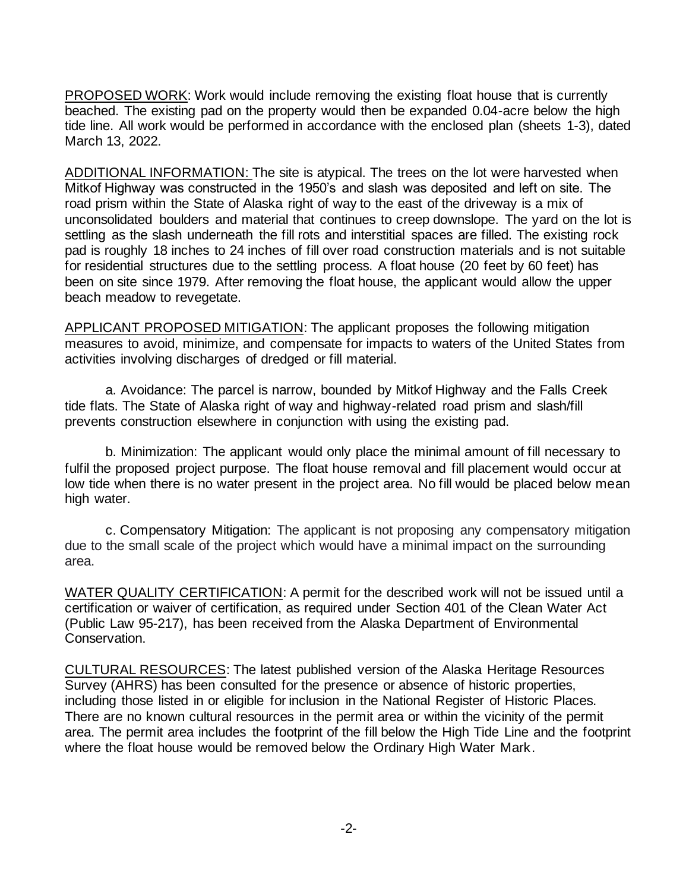PROPOSED WORK: Work would include removing the existing float house that is currently beached. The existing pad on the property would then be expanded 0.04-acre below the high tide line. All work would be performed in accordance with the enclosed plan (sheets 1-3), dated March 13, 2022.

ADDITIONAL INFORMATION: The site is atypical. The trees on the lot were harvested when Mitkof Highway was constructed in the 1950's and slash was deposited and left on site. The road prism within the State of Alaska right of way to the east of the driveway is a mix of unconsolidated boulders and material that continues to creep downslope. The yard on the lot is settling as the slash underneath the fill rots and interstitial spaces are filled. The existing rock pad is roughly 18 inches to 24 inches of fill over road construction materials and is not suitable for residential structures due to the settling process. A float house (20 feet by 60 feet) has been on site since 1979. After removing the float house, the applicant would allow the upper beach meadow to revegetate.

APPLICANT PROPOSED MITIGATION: The applicant proposes the following mitigation measures to avoid, minimize, and compensate for impacts to waters of the United States from activities involving discharges of dredged or fill material.

a. Avoidance: The parcel is narrow, bounded by Mitkof Highway and the Falls Creek tide flats. The State of Alaska right of way and highway-related road prism and slash/fill prevents construction elsewhere in conjunction with using the existing pad.

b. Minimization: The applicant would only place the minimal amount of fill necessary to fulfil the proposed project purpose. The float house removal and fill placement would occur at low tide when there is no water present in the project area. No fill would be placed below mean high water.

c. Compensatory Mitigation: The applicant is not proposing any compensatory mitigation due to the small scale of the project which would have a minimal impact on the surrounding area.

WATER QUALITY CERTIFICATION: A permit for the described work will not be issued until a certification or waiver of certification, as required under Section 401 of the Clean Water Act (Public Law 95-217), has been received from the Alaska Department of Environmental Conservation.

CULTURAL RESOURCES: The latest published version of the Alaska Heritage Resources Survey (AHRS) has been consulted for the presence or absence of historic properties, including those listed in or eligible for inclusion in the National Register of Historic Places. There are no known cultural resources in the permit area or within the vicinity of the permit area. The permit area includes the footprint of the fill below the High Tide Line and the footprint where the float house would be removed below the Ordinary High Water Mark.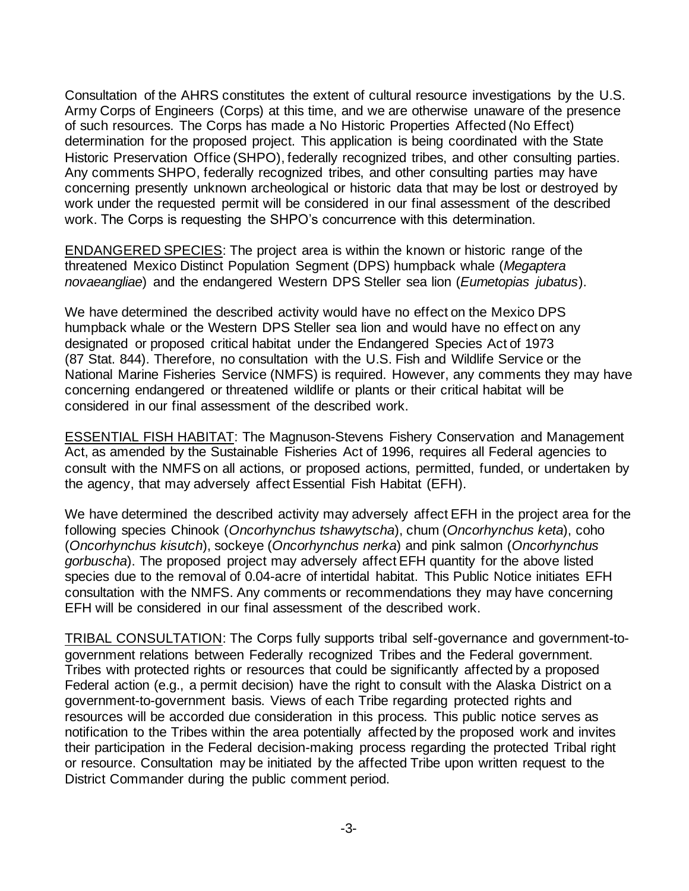Consultation of the AHRS constitutes the extent of cultural resource investigations by the U.S. Army Corps of Engineers (Corps) at this time, and we are otherwise unaware of the presence of such resources. The Corps has made a No Historic Properties Affected (No Effect) determination for the proposed project. This application is being coordinated with the State Historic Preservation Office (SHPO), federally recognized tribes, and other consulting parties. Any comments SHPO, federally recognized tribes, and other consulting parties may have concerning presently unknown archeological or historic data that may be lost or destroyed by work under the requested permit will be considered in our final assessment of the described work. The Corps is requesting the SHPO's concurrence with this determination.

ENDANGERED SPECIES: The project area is within the known or historic range of the threatened Mexico Distinct Population Segment (DPS) humpback whale (*Megaptera novaeangliae*) and the endangered Western DPS Steller sea lion (*Eumetopias jubatus*).

We have determined the described activity would have no effect on the Mexico DPS humpback whale or the Western DPS Steller sea lion and would have no effect on any designated or proposed critical habitat under the Endangered Species Act of 1973 (87 Stat. 844). Therefore, no consultation with the U.S. Fish and Wildlife Service or the National Marine Fisheries Service (NMFS) is required. However, any comments they may have concerning endangered or threatened wildlife or plants or their critical habitat will be considered in our final assessment of the described work.

ESSENTIAL FISH HABITAT: The Magnuson-Stevens Fishery Conservation and Management Act, as amended by the Sustainable Fisheries Act of 1996, requires all Federal agencies to consult with the NMFS on all actions, or proposed actions, permitted, funded, or undertaken by the agency, that may adversely affect Essential Fish Habitat (EFH).

We have determined the described activity may adversely affect EFH in the project area for the following species Chinook (*Oncorhynchus tshawytscha*), chum (*Oncorhynchus keta*), coho (*Oncorhynchus kisutch*), sockeye (*Oncorhynchus nerka*) and pink salmon (*Oncorhynchus gorbuscha*). The proposed project may adversely affect EFH quantity for the above listed species due to the removal of 0.04-acre of intertidal habitat. This Public Notice initiates EFH consultation with the NMFS. Any comments or recommendations they may have concerning EFH will be considered in our final assessment of the described work.

TRIBAL CONSULTATION: The Corps fully supports tribal self-governance and government-togovernment relations between Federally recognized Tribes and the Federal government. Tribes with protected rights or resources that could be significantly affected by a proposed Federal action (e.g., a permit decision) have the right to consult with the Alaska District on a government-to-government basis. Views of each Tribe regarding protected rights and resources will be accorded due consideration in this process. This public notice serves as notification to the Tribes within the area potentially affected by the proposed work and invites their participation in the Federal decision-making process regarding the protected Tribal right or resource. Consultation may be initiated by the affected Tribe upon written request to the District Commander during the public comment period.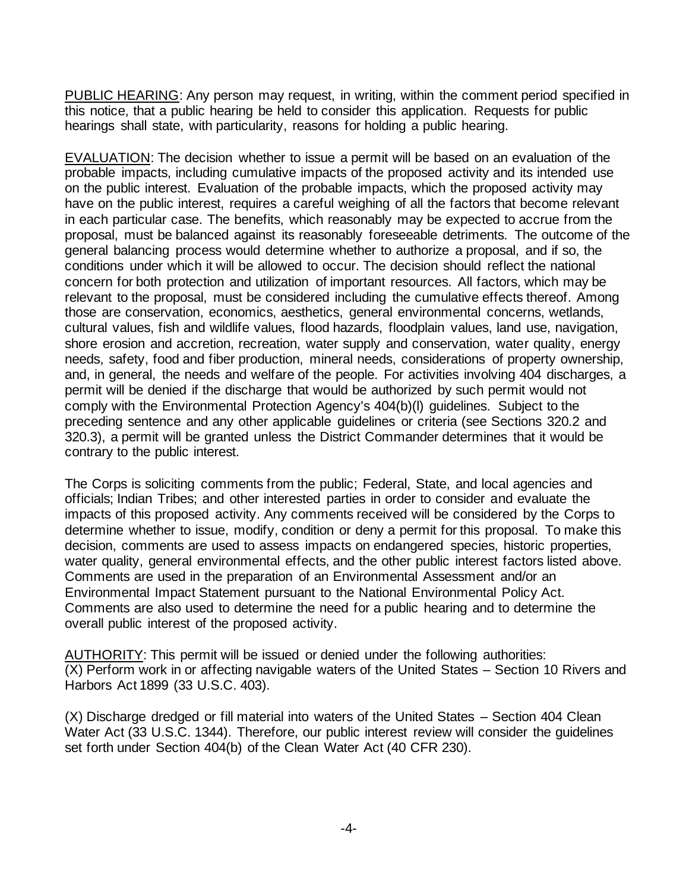PUBLIC HEARING: Any person may request, in writing, within the comment period specified in this notice, that a public hearing be held to consider this application. Requests for public hearings shall state, with particularity, reasons for holding a public hearing.

EVALUATION: The decision whether to issue a permit will be based on an evaluation of the probable impacts, including cumulative impacts of the proposed activity and its intended use on the public interest. Evaluation of the probable impacts, which the proposed activity may have on the public interest, requires a careful weighing of all the factors that become relevant in each particular case. The benefits, which reasonably may be expected to accrue from the proposal, must be balanced against its reasonably foreseeable detriments. The outcome of the general balancing process would determine whether to authorize a proposal, and if so, the conditions under which it will be allowed to occur. The decision should reflect the national concern for both protection and utilization of important resources. All factors, which may be relevant to the proposal, must be considered including the cumulative effects thereof. Among those are conservation, economics, aesthetics, general environmental concerns, wetlands, cultural values, fish and wildlife values, flood hazards, floodplain values, land use, navigation, shore erosion and accretion, recreation, water supply and conservation, water quality, energy needs, safety, food and fiber production, mineral needs, considerations of property ownership, and, in general, the needs and welfare of the people. For activities involving 404 discharges, a permit will be denied if the discharge that would be authorized by such permit would not comply with the Environmental Protection Agency's 404(b)(l) guidelines. Subject to the preceding sentence and any other applicable guidelines or criteria (see Sections 320.2 and 320.3), a permit will be granted unless the District Commander determines that it would be contrary to the public interest.

The Corps is soliciting comments from the public; Federal, State, and local agencies and officials; Indian Tribes; and other interested parties in order to consider and evaluate the impacts of this proposed activity. Any comments received will be considered by the Corps to determine whether to issue, modify, condition or deny a permit for this proposal. To make this decision, comments are used to assess impacts on endangered species, historic properties, water quality, general environmental effects, and the other public interest factors listed above. Comments are used in the preparation of an Environmental Assessment and/or an Environmental Impact Statement pursuant to the National Environmental Policy Act. Comments are also used to determine the need for a public hearing and to determine the overall public interest of the proposed activity.

AUTHORITY: This permit will be issued or denied under the following authorities: (X) Perform work in or affecting navigable waters of the United States – Section 10 Rivers and Harbors Act 1899 (33 U.S.C. 403).

(X) Discharge dredged or fill material into waters of the United States – Section 404 Clean Water Act (33 U.S.C. 1344). Therefore, our public interest review will consider the guidelines set forth under Section 404(b) of the Clean Water Act (40 CFR 230).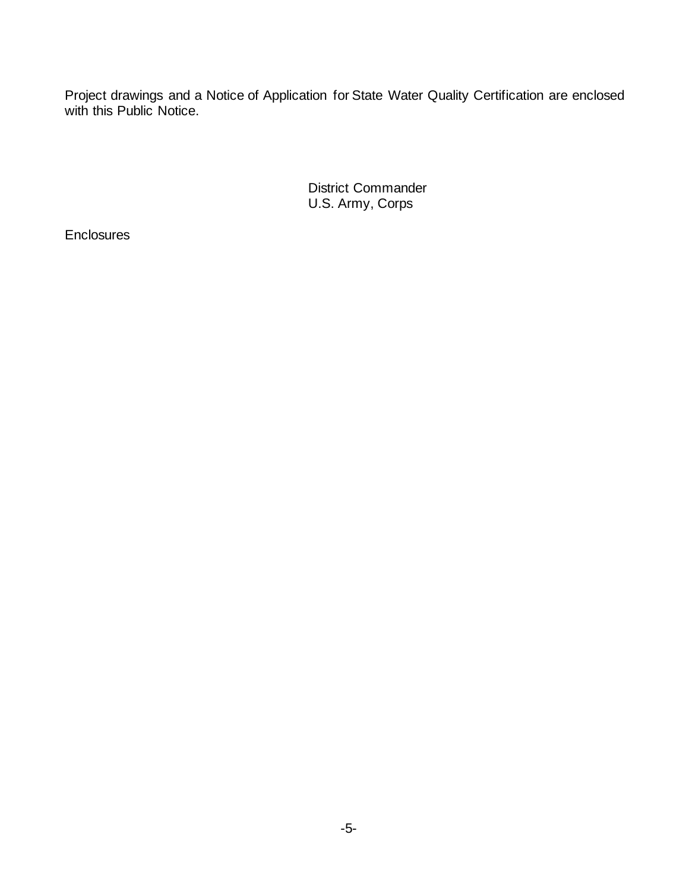Project drawings and a Notice of Application for State Water Quality Certification are enclosed with this Public Notice.

> District Commander U.S. Army, Corps

**Enclosures**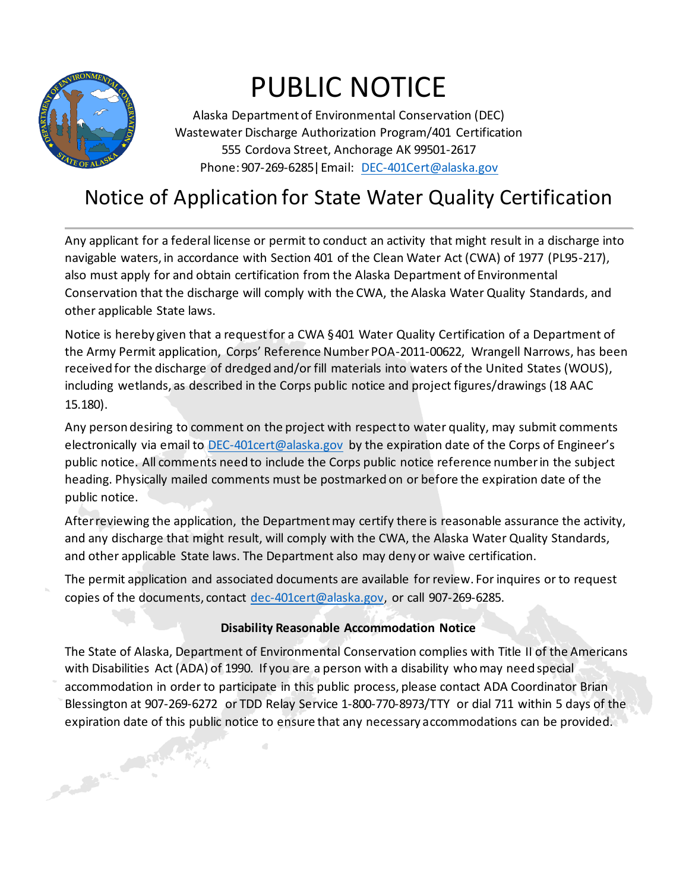

Contract of the Contract of the

## PUBLIC NOTICE

Alaska Department of Environmental Conservation (DEC) Wastewater Discharge Authorization Program/401 Certification 555 Cordova Street, Anchorage AK 99501-2617 Phone: 907-269-6285|Email: [DEC-401Cert@alaska.gov](mailto:DEC-401Cert@alaska.gov)

## Notice of Application for State Water Quality Certification

Any applicant for a federal license or permit to conduct an activity that might result in a discharge into navigable waters, in accordance with Section 401 of the Clean Water Act (CWA) of 1977 (PL95-217), also must apply for and obtain certification from the Alaska Department of Environmental Conservation that the discharge will comply with the CWA, the Alaska Water Quality Standards, and other applicable State laws.

Notice is hereby given that a request for a CWA §401 Water Quality Certification of a Department of the Army Permit application, Corps' Reference Number POA-2011-00622, Wrangell Narrows, has been received for the discharge of dredged and/or fill materials into waters of the United States (WOUS), including wetlands, as described in the Corps public notice and project figures/drawings (18 AAC 15.180).

Any person desiring to comment on the project with respect to water quality, may submit comments electronically via email to [DEC-401cert@alaska.gov](mailto:DEC-401cert@alaska.gov) by the expiration date of the Corps of Engineer's public notice. All comments need to include the Corps public notice reference number in the subject heading. Physically mailed comments must be postmarked on or before the expiration date of the public notice.

After reviewing the application, the Department may certify there is reasonable assurance the activity, and any discharge that might result, will comply with the CWA, the Alaska Water Quality Standards, and other applicable State laws. The Department also may deny or waive certification.

The permit application and associated documents are available for review. For inquires or to request copies of the documents, contact [dec-401cert@alaska.gov,](mailto:dec-401cert@alaska.gov) or call 907-269-6285.

## **Disability Reasonable Accommodation Notice**

The State of Alaska, Department of Environmental Conservation complies with Title II of the Americans with Disabilities Act (ADA) of 1990. If you are a person with a disability who may need special accommodation in order to participate in this public process, please contact ADA Coordinator Brian Blessington at 907-269-6272 or TDD Relay Service 1-800-770-8973/TTY or dial 711 within 5 days of the expiration date of this public notice to ensure that any necessary accommodations can be provided.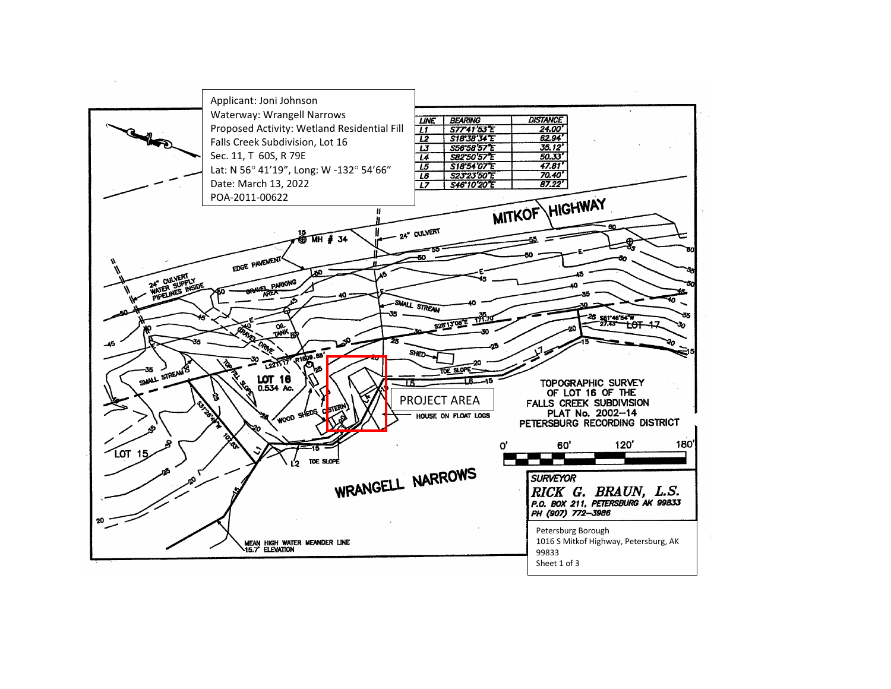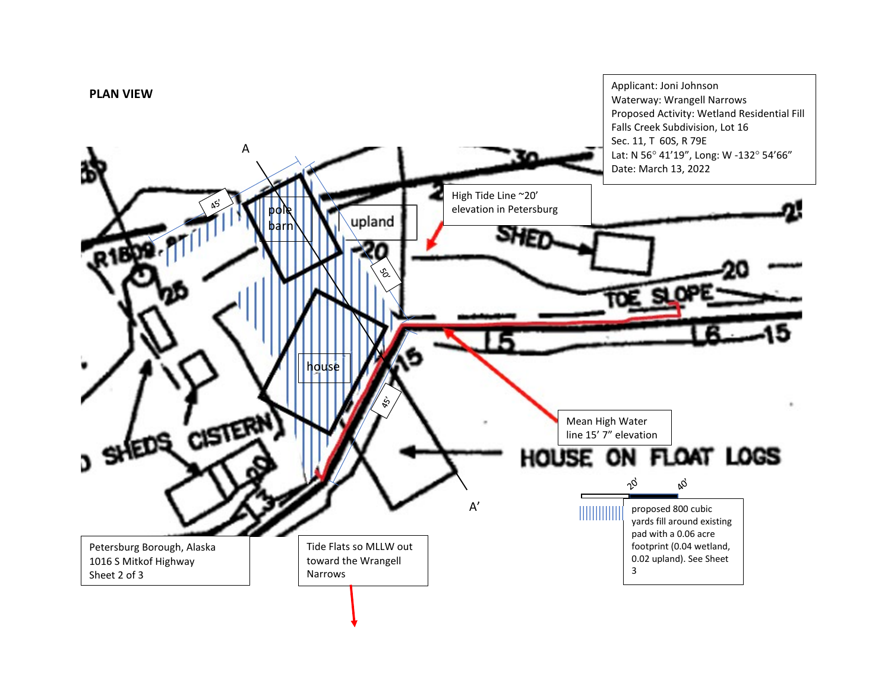